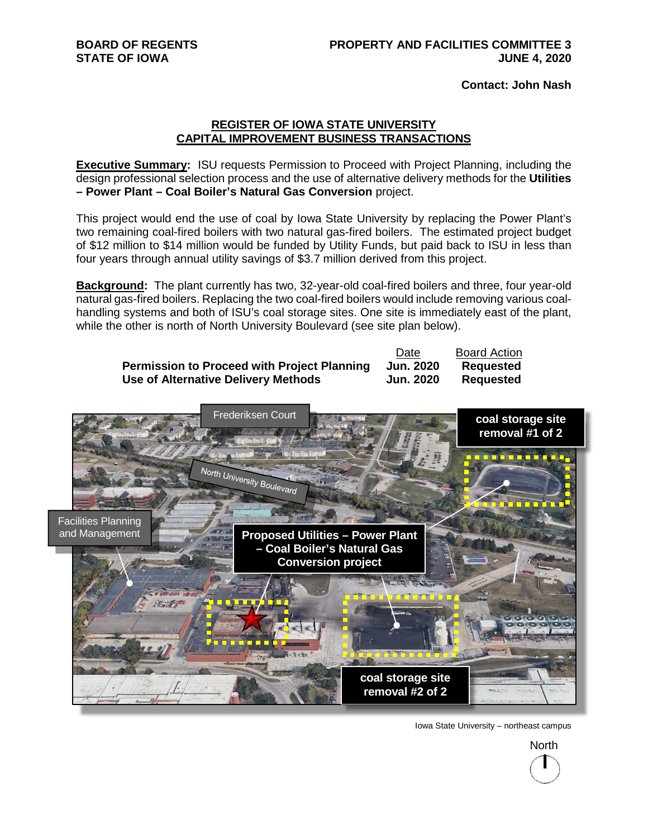**Contact: John Nash** 

## **REGISTER OF IOWA STATE UNIVERSITY CAPITAL IMPROVEMENT BUSINESS TRANSACTIONS**

**Executive Summary:** ISU requests Permission to Proceed with Project Planning, including the design professional selection process and the use of alternative delivery methods for the **Utilities – Power Plant – Coal Boiler's Natural Gas Conversion** project.

This project would end the use of coal by Iowa State University by replacing the Power Plant's two remaining coal-fired boilers with two natural gas-fired boilers. The estimated project budget of \$12 million to \$14 million would be funded by Utility Funds, but paid back to ISU in less than four years through annual utility savings of \$3.7 million derived from this project.

**Background:** The plant currently has two, 32-year-old coal-fired boilers and three, four year-old natural gas-fired boilers. Replacing the two coal-fired boilers would include removing various coalhandling systems and both of ISU's coal storage sites. One site is immediately east of the plant, while the other is north of North University Boulevard (see site plan below).

|                                                    | Date             | <b>Board Action</b> |
|----------------------------------------------------|------------------|---------------------|
| <b>Permission to Proceed with Project Planning</b> | <b>Jun. 2020</b> | <b>Requested</b>    |
| Use of Alternative Delivery Methods                | Jun. 2020        | <b>Requested</b>    |



Iowa State University – northeast campus

North